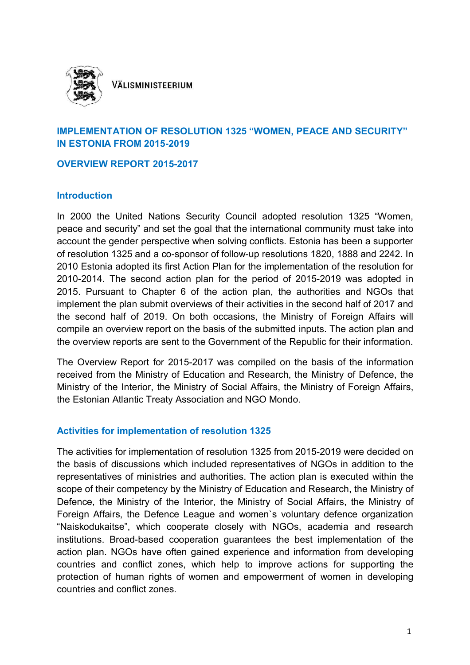

VÄLISMINISTEERIUM

## **IMPLEMENTATION OF RESOLUTION 1325 "WOMEN, PEACE AND SECURITY" IN ESTONIA FROM 2015-2019**

### **OVERVIEW REPORT 2015-2017**

### **Introduction**

In 2000 the United Nations Security Council adopted resolution 1325 "Women, peace and security" and set the goal that the international community must take into account the gender perspective when solving conflicts. Estonia has been a supporter of resolution 1325 and a co-sponsor of follow-up resolutions 1820, 1888 and 2242. In 2010 Estonia adopted its first Action Plan for the implementation of the resolution for 2010-2014. The second action plan for the period of 2015-2019 was adopted in 2015. Pursuant to Chapter 6 of the action plan, the authorities and NGOs that implement the plan submit overviews of their activities in the second half of 2017 and the second half of 2019. On both occasions, the Ministry of Foreign Affairs will compile an overview report on the basis of the submitted inputs. The action plan and the overview reports are sent to the Government of the Republic for their information.

The Overview Report for 2015-2017 was compiled on the basis of the information received from the Ministry of Education and Research, the Ministry of Defence, the Ministry of the Interior, the Ministry of Social Affairs, the Ministry of Foreign Affairs, the Estonian Atlantic Treaty Association and NGO Mondo.

## **Activities for implementation of resolution 1325**

The activities for implementation of resolution 1325 from 2015-2019 were decided on the basis of discussions which included representatives of NGOs in addition to the representatives of ministries and authorities. The action plan is executed within the scope of their competency by the Ministry of Education and Research, the Ministry of Defence, the Ministry of the Interior, the Ministry of Social Affairs, the Ministry of Foreign Affairs, the Defence League and women`s voluntary defence organization "Naiskodukaitse", which cooperate closely with NGOs, academia and research institutions. Broad-based cooperation guarantees the best implementation of the action plan. NGOs have often gained experience and information from developing countries and conflict zones, which help to improve actions for supporting the protection of human rights of women and empowerment of women in developing countries and conflict zones.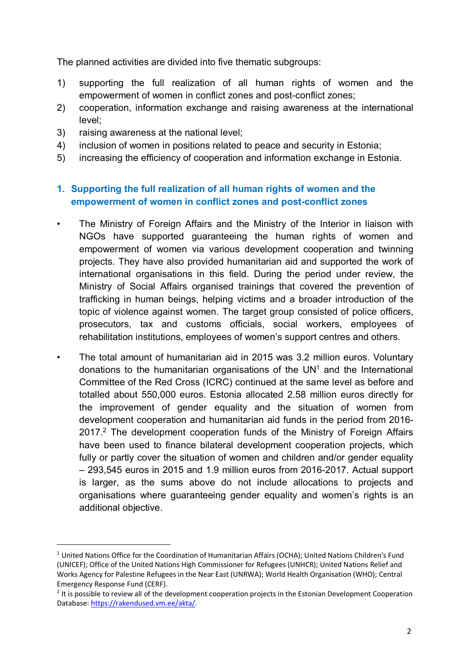The planned activities are divided into five thematic subgroups:

- 1) supporting the full realization of all human rights of women and the empowerment of women in conflict zones and post-conflict zones;
- 2) cooperation, information exchange and raising awareness at the international level;
- 3) raising awareness at the national level;

 $\overline{a}$ 

- 4) inclusion of women in positions related to peace and security in Estonia;
- 5) increasing the efficiency of cooperation and information exchange in Estonia.

## **1. Supporting the full realization of all human rights of women and the empowerment of women in conflict zones and post-conflict zones**

- The Ministry of Foreign Affairs and the Ministry of the Interior in liaison with NGOs have supported guaranteeing the human rights of women and empowerment of women via various development cooperation and twinning projects. They have also provided humanitarian aid and supported the work of international organisations in this field. During the period under review, the Ministry of Social Affairs organised trainings that covered the prevention of trafficking in human beings, helping victims and a broader introduction of the topic of violence against women. The target group consisted of police officers, prosecutors, tax and customs officials, social workers, employees of rehabilitation institutions, employees of women's support centres and others.
- The total amount of humanitarian aid in 2015 was 3.2 million euros. Voluntary donations to the humanitarian organisations of the UN<sup>1</sup> and the International Committee of the Red Cross (ICRC) continued at the same level as before and totalled about 550,000 euros. Estonia allocated 2.58 million euros directly for the improvement of gender equality and the situation of women from development cooperation and humanitarian aid funds in the period from 2016- 2017.<sup>2</sup> The development cooperation funds of the Ministry of Foreign Affairs have been used to finance bilateral development cooperation projects, which fully or partly cover the situation of women and children and/or gender equality – 293,545 euros in 2015 and 1.9 million euros from 2016-2017. Actual support is larger, as the sums above do not include allocations to projects and organisations where guaranteeing gender equality and women's rights is an additional objective.

<sup>&</sup>lt;sup>1</sup> United Nations Office for the Coordination of Humanitarian Affairs (OCHA); United Nations Children's Fund (UNICEF); Office of the United Nations High Commissioner for Refugees (UNHCR); United Nations Relief and Works Agency for Palestine Refugees in the Near East (UNRWA); World Health Organisation (WHO); Central Emergency Response Fund (CERF).

 $2$  It is possible to review all of the development cooperation projects in the Estonian Development Cooperation Database: https://rakendused.vm.ee/akta/.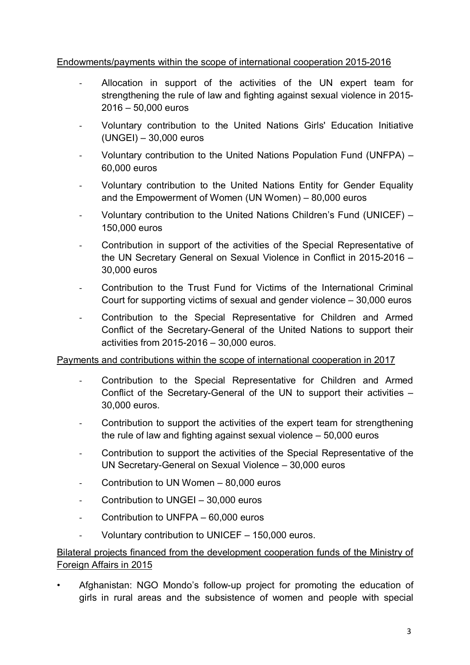## Endowments/payments within the scope of international cooperation 2015-2016

- Allocation in support of the activities of the UN expert team for strengthening the rule of law and fighting against sexual violence in 2015- 2016 – 50,000 euros
- Voluntary contribution to the United Nations Girls' Education Initiative (UNGEI) – 30,000 euros
- Voluntary contribution to the United Nations Population Fund (UNFPA) -60,000 euros
- Voluntary contribution to the United Nations Entity for Gender Equality and the Empowerment of Women (UN Women) – 80,000 euros
- Voluntary contribution to the United Nations Children's Fund (UNICEF) 150,000 euros
- Contribution in support of the activities of the Special Representative of the UN Secretary General on Sexual Violence in Conflict in 2015-2016 – 30,000 euros
- Contribution to the Trust Fund for Victims of the International Criminal Court for supporting victims of sexual and gender violence – 30,000 euros
- Contribution to the Special Representative for Children and Armed Conflict of the Secretary-General of the United Nations to support their activities from 2015-2016 – 30,000 euros.

## Payments and contributions within the scope of international cooperation in 2017

- Contribution to the Special Representative for Children and Armed Conflict of the Secretary-General of the UN to support their activities – 30,000 euros.
- Contribution to support the activities of the expert team for strengthening the rule of law and fighting against sexual violence – 50,000 euros
- Contribution to support the activities of the Special Representative of the UN Secretary-General on Sexual Violence – 30,000 euros
- Contribution to UN Women 80,000 euros
- Contribution to UNGEI 30,000 euros
- Contribution to UNFPA 60,000 euros
- Voluntary contribution to UNICEF  $-$  150,000 euros.

# Bilateral projects financed from the development cooperation funds of the Ministry of Foreign Affairs in 2015

• Afghanistan: NGO Mondo's follow-up project for promoting the education of girls in rural areas and the subsistence of women and people with special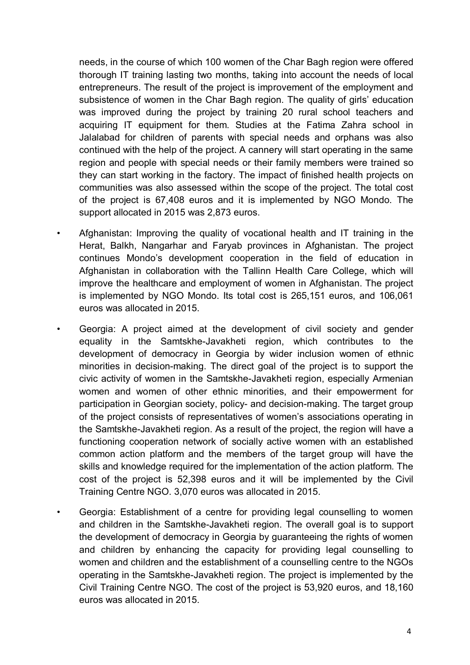needs, in the course of which 100 women of the Char Bagh region were offered thorough IT training lasting two months, taking into account the needs of local entrepreneurs. The result of the project is improvement of the employment and subsistence of women in the Char Bagh region. The quality of girls' education was improved during the project by training 20 rural school teachers and acquiring IT equipment for them. Studies at the Fatima Zahra school in Jalalabad for children of parents with special needs and orphans was also continued with the help of the project. A cannery will start operating in the same region and people with special needs or their family members were trained so they can start working in the factory. The impact of finished health projects on communities was also assessed within the scope of the project. The total cost of the project is 67,408 euros and it is implemented by NGO Mondo. The support allocated in 2015 was 2,873 euros.

- Afghanistan: Improving the quality of vocational health and IT training in the Herat, Balkh, Nangarhar and Faryab provinces in Afghanistan. The project continues Mondo's development cooperation in the field of education in Afghanistan in collaboration with the Tallinn Health Care College, which will improve the healthcare and employment of women in Afghanistan. The project is implemented by NGO Mondo. Its total cost is 265,151 euros, and 106,061 euros was allocated in 2015.
- Georgia: A project aimed at the development of civil society and gender equality in the Samtskhe-Javakheti region, which contributes to the development of democracy in Georgia by wider inclusion women of ethnic minorities in decision-making. The direct goal of the project is to support the civic activity of women in the Samtskhe-Javakheti region, especially Armenian women and women of other ethnic minorities, and their empowerment for participation in Georgian society, policy- and decision-making. The target group of the project consists of representatives of women's associations operating in the Samtskhe-Javakheti region. As a result of the project, the region will have a functioning cooperation network of socially active women with an established common action platform and the members of the target group will have the skills and knowledge required for the implementation of the action platform. The cost of the project is 52,398 euros and it will be implemented by the Civil Training Centre NGO. 3,070 euros was allocated in 2015.
- Georgia: Establishment of a centre for providing legal counselling to women and children in the Samtskhe-Javakheti region. The overall goal is to support the development of democracy in Georgia by guaranteeing the rights of women and children by enhancing the capacity for providing legal counselling to women and children and the establishment of a counselling centre to the NGOs operating in the Samtskhe-Javakheti region. The project is implemented by the Civil Training Centre NGO. The cost of the project is 53,920 euros, and 18,160 euros was allocated in 2015.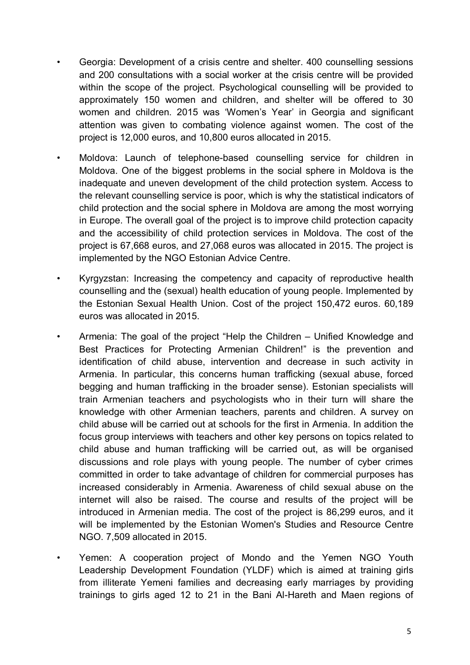- Georgia: Development of a crisis centre and shelter. 400 counselling sessions and 200 consultations with a social worker at the crisis centre will be provided within the scope of the project. Psychological counselling will be provided to approximately 150 women and children, and shelter will be offered to 30 women and children. 2015 was 'Women's Year' in Georgia and significant attention was given to combating violence against women. The cost of the project is 12,000 euros, and 10,800 euros allocated in 2015.
- Moldova: Launch of telephone-based counselling service for children in Moldova. One of the biggest problems in the social sphere in Moldova is the inadequate and uneven development of the child protection system. Access to the relevant counselling service is poor, which is why the statistical indicators of child protection and the social sphere in Moldova are among the most worrying in Europe. The overall goal of the project is to improve child protection capacity and the accessibility of child protection services in Moldova. The cost of the project is 67,668 euros, and 27,068 euros was allocated in 2015. The project is implemented by the NGO Estonian Advice Centre.
- Kyrgyzstan: Increasing the competency and capacity of reproductive health counselling and the (sexual) health education of young people. Implemented by the Estonian Sexual Health Union. Cost of the project 150,472 euros. 60,189 euros was allocated in 2015.
- Armenia: The goal of the project "Help the Children Unified Knowledge and Best Practices for Protecting Armenian Children!" is the prevention and identification of child abuse, intervention and decrease in such activity in Armenia. In particular, this concerns human trafficking (sexual abuse, forced begging and human trafficking in the broader sense). Estonian specialists will train Armenian teachers and psychologists who in their turn will share the knowledge with other Armenian teachers, parents and children. A survey on child abuse will be carried out at schools for the first in Armenia. In addition the focus group interviews with teachers and other key persons on topics related to child abuse and human trafficking will be carried out, as will be organised discussions and role plays with young people. The number of cyber crimes committed in order to take advantage of children for commercial purposes has increased considerably in Armenia. Awareness of child sexual abuse on the internet will also be raised. The course and results of the project will be introduced in Armenian media. The cost of the project is 86,299 euros, and it will be implemented by the Estonian Women's Studies and Resource Centre NGO. 7,509 allocated in 2015.
- Yemen: A cooperation project of Mondo and the Yemen NGO Youth Leadership Development Foundation (YLDF) which is aimed at training girls from illiterate Yemeni families and decreasing early marriages by providing trainings to girls aged 12 to 21 in the Bani Al-Hareth and Maen regions of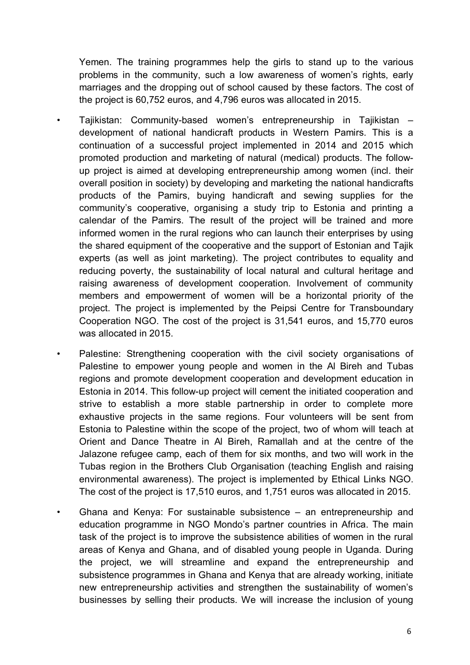Yemen. The training programmes help the girls to stand up to the various problems in the community, such a low awareness of women's rights, early marriages and the dropping out of school caused by these factors. The cost of the project is 60,752 euros, and 4,796 euros was allocated in 2015.

- Tajikistan: Community-based women's entrepreneurship in Tajikistan development of national handicraft products in Western Pamirs. This is a continuation of a successful project implemented in 2014 and 2015 which promoted production and marketing of natural (medical) products. The followup project is aimed at developing entrepreneurship among women (incl. their overall position in society) by developing and marketing the national handicrafts products of the Pamirs, buying handicraft and sewing supplies for the community's cooperative, organising a study trip to Estonia and printing a calendar of the Pamirs. The result of the project will be trained and more informed women in the rural regions who can launch their enterprises by using the shared equipment of the cooperative and the support of Estonian and Tajik experts (as well as joint marketing). The project contributes to equality and reducing poverty, the sustainability of local natural and cultural heritage and raising awareness of development cooperation. Involvement of community members and empowerment of women will be a horizontal priority of the project. The project is implemented by the Peipsi Centre for Transboundary Cooperation NGO. The cost of the project is 31,541 euros, and 15,770 euros was allocated in 2015.
	- Palestine: Strengthening cooperation with the civil society organisations of Palestine to empower young people and women in the Al Bireh and Tubas regions and promote development cooperation and development education in Estonia in 2014. This follow-up project will cement the initiated cooperation and strive to establish a more stable partnership in order to complete more exhaustive projects in the same regions. Four volunteers will be sent from Estonia to Palestine within the scope of the project, two of whom will teach at Orient and Dance Theatre in Al Bireh, Ramallah and at the centre of the Jalazone refugee camp, each of them for six months, and two will work in the Tubas region in the Brothers Club Organisation (teaching English and raising environmental awareness). The project is implemented by Ethical Links NGO. The cost of the project is 17,510 euros, and 1,751 euros was allocated in 2015.
- Ghana and Kenya: For sustainable subsistence an entrepreneurship and education programme in NGO Mondo's partner countries in Africa. The main task of the project is to improve the subsistence abilities of women in the rural areas of Kenya and Ghana, and of disabled young people in Uganda. During the project, we will streamline and expand the entrepreneurship and subsistence programmes in Ghana and Kenya that are already working, initiate new entrepreneurship activities and strengthen the sustainability of women's businesses by selling their products. We will increase the inclusion of young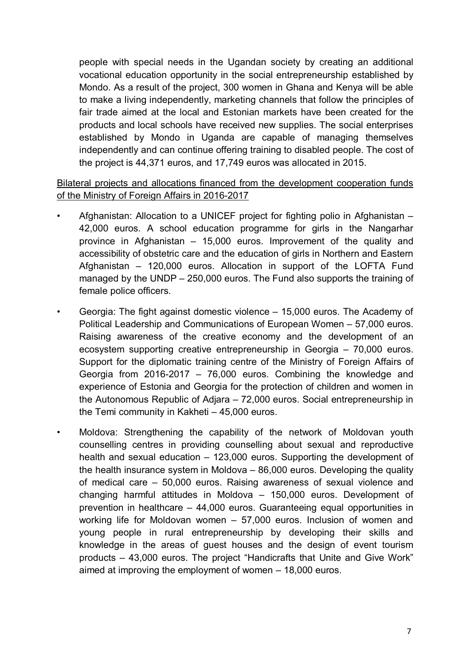people with special needs in the Ugandan society by creating an additional vocational education opportunity in the social entrepreneurship established by Mondo. As a result of the project, 300 women in Ghana and Kenya will be able to make a living independently, marketing channels that follow the principles of fair trade aimed at the local and Estonian markets have been created for the products and local schools have received new supplies. The social enterprises established by Mondo in Uganda are capable of managing themselves independently and can continue offering training to disabled people. The cost of the project is 44,371 euros, and 17,749 euros was allocated in 2015.

Bilateral projects and allocations financed from the development cooperation funds of the Ministry of Foreign Affairs in 2016-2017

- Afghanistan: Allocation to a UNICEF project for fighting polio in Afghanistan 42,000 euros. A school education programme for girls in the Nangarhar province in Afghanistan – 15,000 euros. Improvement of the quality and accessibility of obstetric care and the education of girls in Northern and Eastern Afghanistan – 120,000 euros. Allocation in support of the LOFTA Fund managed by the UNDP – 250,000 euros. The Fund also supports the training of female police officers.
- Georgia: The fight against domestic violence 15,000 euros. The Academy of Political Leadership and Communications of European Women – 57,000 euros. Raising awareness of the creative economy and the development of an ecosystem supporting creative entrepreneurship in Georgia – 70,000 euros. Support for the diplomatic training centre of the Ministry of Foreign Affairs of Georgia from 2016-2017 – 76,000 euros. Combining the knowledge and experience of Estonia and Georgia for the protection of children and women in the Autonomous Republic of Adjara – 72,000 euros. Social entrepreneurship in the Temi community in Kakheti – 45,000 euros.
- Moldova: Strengthening the capability of the network of Moldovan youth counselling centres in providing counselling about sexual and reproductive health and sexual education – 123,000 euros. Supporting the development of the health insurance system in Moldova – 86,000 euros. Developing the quality of medical care – 50,000 euros. Raising awareness of sexual violence and changing harmful attitudes in Moldova – 150,000 euros. Development of prevention in healthcare – 44,000 euros. Guaranteeing equal opportunities in working life for Moldovan women – 57,000 euros. Inclusion of women and young people in rural entrepreneurship by developing their skills and knowledge in the areas of guest houses and the design of event tourism products – 43,000 euros. The project "Handicrafts that Unite and Give Work" aimed at improving the employment of women – 18,000 euros.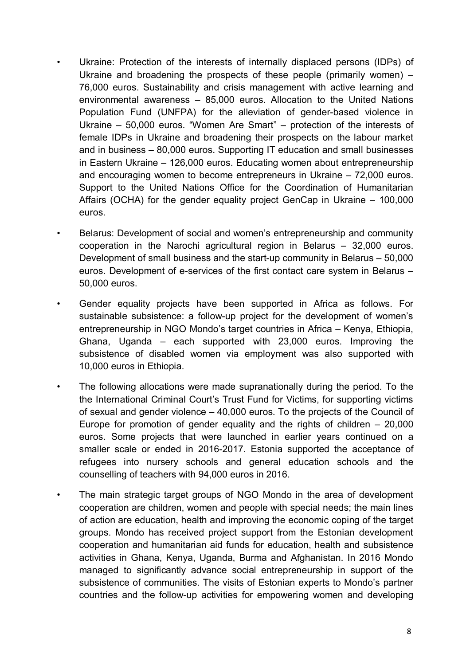- Ukraine: Protection of the interests of internally displaced persons (IDPs) of Ukraine and broadening the prospects of these people (primarily women) – 76,000 euros. Sustainability and crisis management with active learning and environmental awareness – 85,000 euros. Allocation to the United Nations Population Fund (UNFPA) for the alleviation of gender-based violence in Ukraine – 50,000 euros. "Women Are Smart" – protection of the interests of female IDPs in Ukraine and broadening their prospects on the labour market and in business – 80,000 euros. Supporting IT education and small businesses in Eastern Ukraine – 126,000 euros. Educating women about entrepreneurship and encouraging women to become entrepreneurs in Ukraine – 72,000 euros. Support to the United Nations Office for the Coordination of Humanitarian Affairs (OCHA) for the gender equality project GenCap in Ukraine – 100,000 euros.
- Belarus: Development of social and women's entrepreneurship and community cooperation in the Narochi agricultural region in Belarus – 32,000 euros. Development of small business and the start-up community in Belarus – 50,000 euros. Development of e-services of the first contact care system in Belarus – 50,000 euros.
- Gender equality projects have been supported in Africa as follows. For sustainable subsistence: a follow-up project for the development of women's entrepreneurship in NGO Mondo's target countries in Africa – Kenya, Ethiopia, Ghana, Uganda – each supported with 23,000 euros. Improving the subsistence of disabled women via employment was also supported with 10,000 euros in Ethiopia.
- The following allocations were made supranationally during the period. To the the International Criminal Court's Trust Fund for Victims, for supporting victims of sexual and gender violence – 40,000 euros. To the projects of the Council of Europe for promotion of gender equality and the rights of children  $-20,000$ euros. Some projects that were launched in earlier years continued on a smaller scale or ended in 2016-2017. Estonia supported the acceptance of refugees into nursery schools and general education schools and the counselling of teachers with 94,000 euros in 2016.
- The main strategic target groups of NGO Mondo in the area of development cooperation are children, women and people with special needs; the main lines of action are education, health and improving the economic coping of the target groups. Mondo has received project support from the Estonian development cooperation and humanitarian aid funds for education, health and subsistence activities in Ghana, Kenya, Uganda, Burma and Afghanistan. In 2016 Mondo managed to significantly advance social entrepreneurship in support of the subsistence of communities. The visits of Estonian experts to Mondo's partner countries and the follow-up activities for empowering women and developing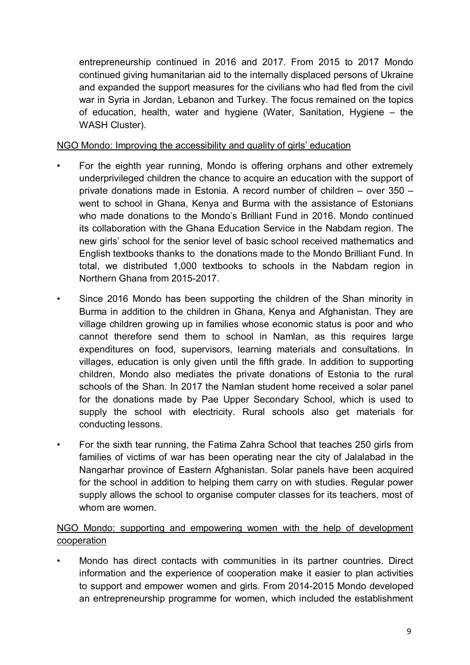entrepreneurship continued in 2016 and 2017. From 2015 to 2017 Mondo continued giving humanitarian aid to the internally displaced persons of Ukraine and expanded the support measures for the civilians who had fled from the civil war in Syria in Jordan, Lebanon and Turkey. The focus remained on the topics of education, health, water and hygiene (Water, Sanitation, Hygiene – the WASH Cluster).

## NGO Mondo: Improving the accessibility and quality of girls' education

- For the eighth year running, Mondo is offering orphans and other extremely underprivileged children the chance to acquire an education with the support of private donations made in Estonia. A record number of children – over 350 – went to school in Ghana, Kenya and Burma with the assistance of Estonians who made donations to the Mondo's Brilliant Fund in 2016. Mondo continued its collaboration with the Ghana Education Service in the Nabdam region. The new girls' school for the senior level of basic school received mathematics and English textbooks thanks to the donations made to the Mondo Brilliant Fund. In total, we distributed 1,000 textbooks to schools in the Nabdam region in Northern Ghana from 2015-2017.
- Since 2016 Mondo has been supporting the children of the Shan minority in Burma in addition to the children in Ghana, Kenya and Afghanistan. They are village children growing up in families whose economic status is poor and who cannot therefore send them to school in Namlan, as this requires large expenditures on food, supervisors, learning materials and consultations. In villages, education is only given until the fifth grade. In addition to supporting children, Mondo also mediates the private donations of Estonia to the rural schools of the Shan. In 2017 the Namlan student home received a solar panel for the donations made by Pae Upper Secondary School, which is used to supply the school with electricity. Rural schools also get materials for conducting lessons.
- For the sixth tear running, the Fatima Zahra School that teaches 250 girls from families of victims of war has been operating near the city of Jalalabad in the Nangarhar province of Eastern Afghanistan. Solar panels have been acquired for the school in addition to helping them carry on with studies. Regular power supply allows the school to organise computer classes for its teachers, most of whom are women.

## NGO Mondo: supporting and empowering women with the help of development cooperation

• Mondo has direct contacts with communities in its partner countries. Direct information and the experience of cooperation make it easier to plan activities to support and empower women and girls. From 2014-2015 Mondo developed an entrepreneurship programme for women, which included the establishment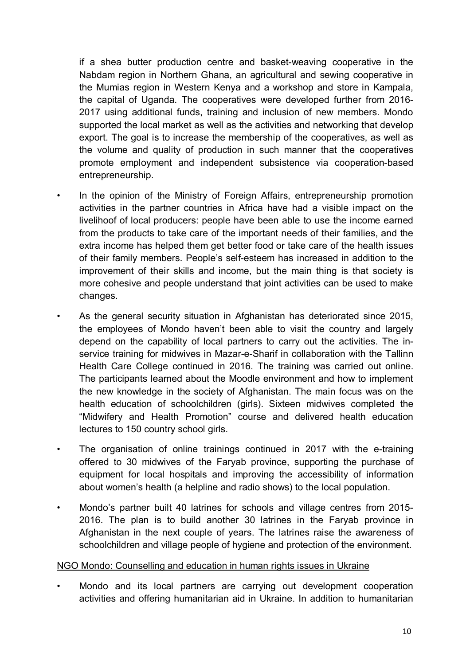if a shea butter production centre and basket-weaving cooperative in the Nabdam region in Northern Ghana, an agricultural and sewing cooperative in the Mumias region in Western Kenya and a workshop and store in Kampala, the capital of Uganda. The cooperatives were developed further from 2016- 2017 using additional funds, training and inclusion of new members. Mondo supported the local market as well as the activities and networking that develop export. The goal is to increase the membership of the cooperatives, as well as the volume and quality of production in such manner that the cooperatives promote employment and independent subsistence via cooperation-based entrepreneurship.

- In the opinion of the Ministry of Foreign Affairs, entrepreneurship promotion activities in the partner countries in Africa have had a visible impact on the livelihoof of local producers: people have been able to use the income earned from the products to take care of the important needs of their families, and the extra income has helped them get better food or take care of the health issues of their family members. People's self-esteem has increased in addition to the improvement of their skills and income, but the main thing is that society is more cohesive and people understand that joint activities can be used to make changes.
- As the general security situation in Afghanistan has deteriorated since 2015, the employees of Mondo haven't been able to visit the country and largely depend on the capability of local partners to carry out the activities. The inservice training for midwives in Mazar-e-Sharif in collaboration with the Tallinn Health Care College continued in 2016. The training was carried out online. The participants learned about the Moodle environment and how to implement the new knowledge in the society of Afghanistan. The main focus was on the health education of schoolchildren (girls). Sixteen midwives completed the "Midwifery and Health Promotion" course and delivered health education lectures to 150 country school girls.
- The organisation of online trainings continued in 2017 with the e-training offered to 30 midwives of the Faryab province, supporting the purchase of equipment for local hospitals and improving the accessibility of information about women's health (a helpline and radio shows) to the local population.
- Mondo's partner built 40 latrines for schools and village centres from 2015- 2016. The plan is to build another 30 latrines in the Faryab province in Afghanistan in the next couple of years. The latrines raise the awareness of schoolchildren and village people of hygiene and protection of the environment.

### NGO Mondo: Counselling and education in human rights issues in Ukraine

• Mondo and its local partners are carrying out development cooperation activities and offering humanitarian aid in Ukraine. In addition to humanitarian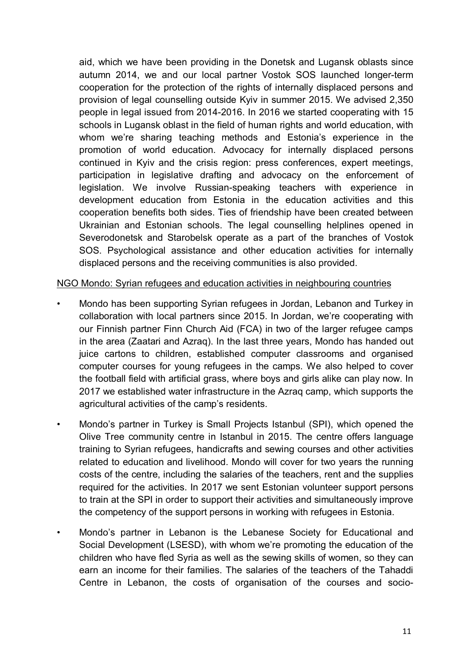aid, which we have been providing in the Donetsk and Lugansk oblasts since autumn 2014, we and our local partner Vostok SOS launched longer-term cooperation for the protection of the rights of internally displaced persons and provision of legal counselling outside Kyiv in summer 2015. We advised 2,350 people in legal issued from 2014-2016. In 2016 we started cooperating with 15 schools in Lugansk oblast in the field of human rights and world education, with whom we're sharing teaching methods and Estonia's experience in the promotion of world education. Advocacy for internally displaced persons continued in Kyiv and the crisis region: press conferences, expert meetings, participation in legislative drafting and advocacy on the enforcement of legislation. We involve Russian-speaking teachers with experience in development education from Estonia in the education activities and this cooperation benefits both sides. Ties of friendship have been created between Ukrainian and Estonian schools. The legal counselling helplines opened in Severodonetsk and Starobelsk operate as a part of the branches of Vostok SOS. Psychological assistance and other education activities for internally displaced persons and the receiving communities is also provided.

### NGO Mondo: Syrian refugees and education activities in neighbouring countries

- Mondo has been supporting Syrian refugees in Jordan, Lebanon and Turkey in collaboration with local partners since 2015. In Jordan, we're cooperating with our Finnish partner Finn Church Aid (FCA) in two of the larger refugee camps in the area (Zaatari and Azraq). In the last three years, Mondo has handed out juice cartons to children, established computer classrooms and organised computer courses for young refugees in the camps. We also helped to cover the football field with artificial grass, where boys and girls alike can play now. In 2017 we established water infrastructure in the Azraq camp, which supports the agricultural activities of the camp's residents.
- Mondo's partner in Turkey is Small Projects Istanbul (SPI), which opened the Olive Tree community centre in Istanbul in 2015. The centre offers language training to Syrian refugees, handicrafts and sewing courses and other activities related to education and livelihood. Mondo will cover for two years the running costs of the centre, including the salaries of the teachers, rent and the supplies required for the activities. In 2017 we sent Estonian volunteer support persons to train at the SPI in order to support their activities and simultaneously improve the competency of the support persons in working with refugees in Estonia.
- Mondo's partner in Lebanon is the Lebanese Society for Educational and Social Development (LSESD), with whom we're promoting the education of the children who have fled Syria as well as the sewing skills of women, so they can earn an income for their families. The salaries of the teachers of the Tahaddi Centre in Lebanon, the costs of organisation of the courses and socio-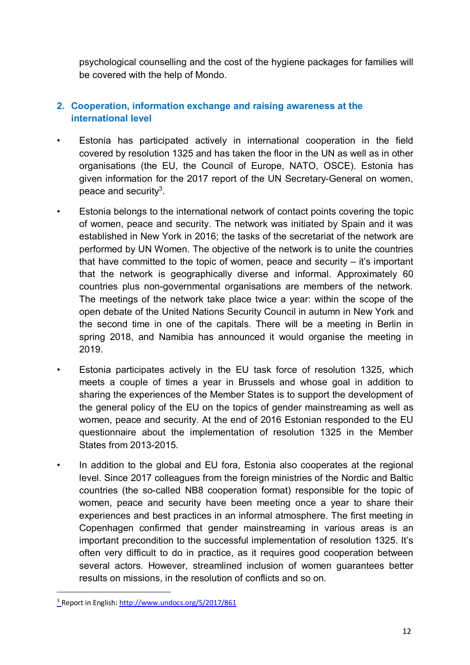psychological counselling and the cost of the hygiene packages for families will be covered with the help of Mondo.

# **2. Cooperation, information exchange and raising awareness at the international level**

- Estonia has participated actively in international cooperation in the field covered by resolution 1325 and has taken the floor in the UN as well as in other organisations (the EU, the Council of Europe, NATO, OSCE). Estonia has given information for the 2017 report of the UN Secretary-General on women, peace and security<sup>3</sup>.
- Estonia belongs to the international network of contact points covering the topic of women, peace and security. The network was initiated by Spain and it was established in New York in 2016; the tasks of the secretariat of the network are performed by UN Women. The objective of the network is to unite the countries that have committed to the topic of women, peace and security  $-$  it's important that the network is geographically diverse and informal. Approximately 60 countries plus non-governmental organisations are members of the network. The meetings of the network take place twice a year: within the scope of the open debate of the United Nations Security Council in autumn in New York and the second time in one of the capitals. There will be a meeting in Berlin in spring 2018, and Namibia has announced it would organise the meeting in 2019.
- Estonia participates actively in the EU task force of resolution 1325, which meets a couple of times a year in Brussels and whose goal in addition to sharing the experiences of the Member States is to support the development of the general policy of the EU on the topics of gender mainstreaming as well as women, peace and security. At the end of 2016 Estonian responded to the EU questionnaire about the implementation of resolution 1325 in the Member States from 2013-2015.
- In addition to the global and EU fora. Estonia also cooperates at the regional level. Since 2017 colleagues from the foreign ministries of the Nordic and Baltic countries (the so-called NB8 cooperation format) responsible for the topic of women, peace and security have been meeting once a year to share their experiences and best practices in an informal atmosphere. The first meeting in Copenhagen confirmed that gender mainstreaming in various areas is an important precondition to the successful implementation of resolution 1325. It's often very difficult to do in practice, as it requires good cooperation between several actors. However, streamlined inclusion of women guarantees better results on missions, in the resolution of conflicts and so on.

<sup>3</sup> Report in English: http://www.undocs.org/S/2017/861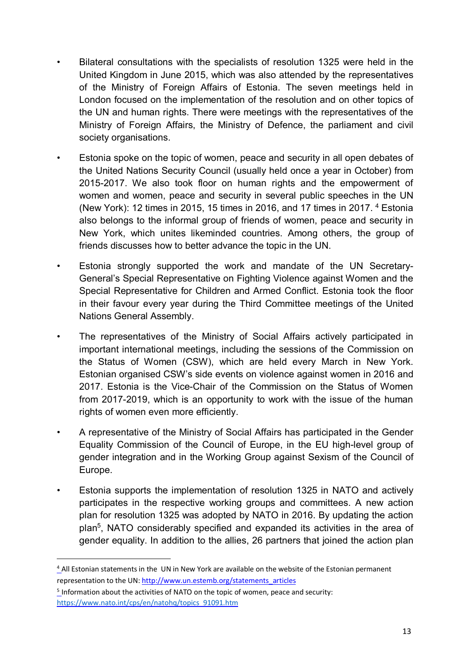- Bilateral consultations with the specialists of resolution 1325 were held in the United Kingdom in June 2015, which was also attended by the representatives of the Ministry of Foreign Affairs of Estonia. The seven meetings held in London focused on the implementation of the resolution and on other topics of the UN and human rights. There were meetings with the representatives of the Ministry of Foreign Affairs, the Ministry of Defence, the parliament and civil society organisations.
- Estonia spoke on the topic of women, peace and security in all open debates of the United Nations Security Council (usually held once a year in October) from 2015-2017. We also took floor on human rights and the empowerment of women and women, peace and security in several public speeches in the UN (New York): 12 times in 2015, 15 times in 2016, and 17 times in 2017. <sup>4</sup> Estonia also belongs to the informal group of friends of women, peace and security in New York, which unites likeminded countries. Among others, the group of friends discusses how to better advance the topic in the UN.
- Estonia strongly supported the work and mandate of the UN Secretary-General's Special Representative on Fighting Violence against Women and the Special Representative for Children and Armed Conflict. Estonia took the floor in their favour every year during the Third Committee meetings of the United Nations General Assembly.
- The representatives of the Ministry of Social Affairs actively participated in important international meetings, including the sessions of the Commission on the Status of Women (CSW), which are held every March in New York. Estonian organised CSW's side events on violence against women in 2016 and 2017. Estonia is the Vice-Chair of the Commission on the Status of Women from 2017-2019, which is an opportunity to work with the issue of the human rights of women even more efficiently.
- A representative of the Ministry of Social Affairs has participated in the Gender Equality Commission of the Council of Europe, in the EU high-level group of gender integration and in the Working Group against Sexism of the Council of Europe.
- Estonia supports the implementation of resolution 1325 in NATO and actively participates in the respective working groups and committees. A new action plan for resolution 1325 was adopted by NATO in 2016. By updating the action plan<sup>5</sup>, NATO considerably specified and expanded its activities in the area of gender equality. In addition to the allies, 26 partners that joined the action plan

<sup>4</sup> All Estonian statements in the UN in New York are available on the website of the Estonian permanent representation to the UN: http://www.un.estemb.org/statements\_articles

 $5$  Information about the activities of NATO on the topic of women, peace and security: https://www.nato.int/cps/en/natohq/topics\_91091.htm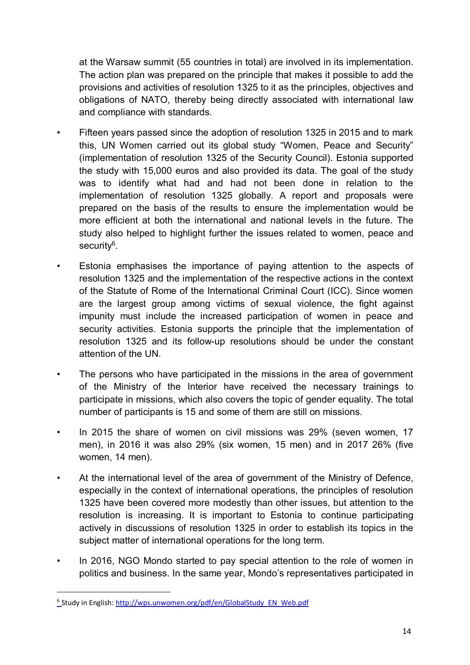at the Warsaw summit (55 countries in total) are involved in its implementation. The action plan was prepared on the principle that makes it possible to add the provisions and activities of resolution 1325 to it as the principles, objectives and obligations of NATO, thereby being directly associated with international law and compliance with standards.

- Fifteen years passed since the adoption of resolution 1325 in 2015 and to mark this, UN Women carried out its global study "Women, Peace and Security" (implementation of resolution 1325 of the Security Council). Estonia supported the study with 15,000 euros and also provided its data. The goal of the study was to identify what had and had not been done in relation to the implementation of resolution 1325 globally. A report and proposals were prepared on the basis of the results to ensure the implementation would be more efficient at both the international and national levels in the future. The study also helped to highlight further the issues related to women, peace and security<sup>6</sup>.
- Estonia emphasises the importance of paying attention to the aspects of resolution 1325 and the implementation of the respective actions in the context of the Statute of Rome of the International Criminal Court (ICC). Since women are the largest group among victims of sexual violence, the fight against impunity must include the increased participation of women in peace and security activities. Estonia supports the principle that the implementation of resolution 1325 and its follow-up resolutions should be under the constant attention of the UN.
- The persons who have participated in the missions in the area of government of the Ministry of the Interior have received the necessary trainings to participate in missions, which also covers the topic of gender equality. The total number of participants is 15 and some of them are still on missions.
- In 2015 the share of women on civil missions was 29% (seven women, 17 men), in 2016 it was also 29% (six women, 15 men) and in 2017 26% (five women, 14 men).
- At the international level of the area of government of the Ministry of Defence, especially in the context of international operations, the principles of resolution 1325 have been covered more modestly than other issues, but attention to the resolution is increasing. It is important to Estonia to continue participating actively in discussions of resolution 1325 in order to establish its topics in the subject matter of international operations for the long term.
- In 2016, NGO Mondo started to pay special attention to the role of women in politics and business. In the same year, Mondo's representatives participated in

<sup>&</sup>lt;sup>6</sup>Study in English: http://wps.unwomen.org/pdf/en/GlobalStudy\_EN\_Web.pdf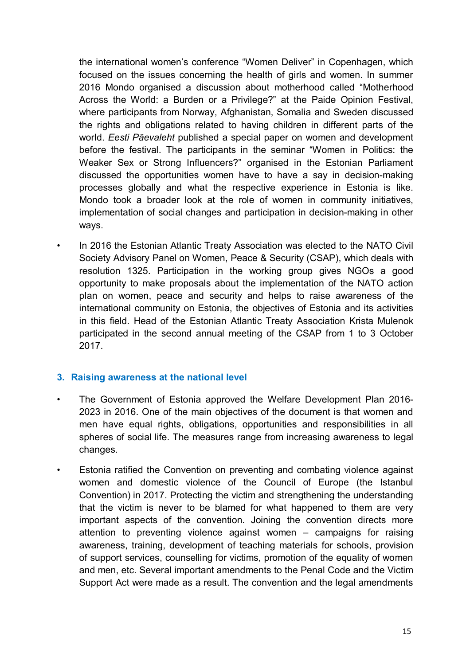the international women's conference "Women Deliver" in Copenhagen, which focused on the issues concerning the health of girls and women. In summer 2016 Mondo organised a discussion about motherhood called "Motherhood Across the World: a Burden or a Privilege?" at the Paide Opinion Festival, where participants from Norway, Afghanistan, Somalia and Sweden discussed the rights and obligations related to having children in different parts of the world. *Eesti Päevaleht* published a special paper on women and development before the festival. The participants in the seminar "Women in Politics: the Weaker Sex or Strong Influencers?" organised in the Estonian Parliament discussed the opportunities women have to have a say in decision-making processes globally and what the respective experience in Estonia is like. Mondo took a broader look at the role of women in community initiatives, implementation of social changes and participation in decision-making in other ways.

• In 2016 the Estonian Atlantic Treaty Association was elected to the NATO Civil Society Advisory Panel on Women, Peace & Security (CSAP), which deals with resolution 1325. Participation in the working group gives NGOs a good opportunity to make proposals about the implementation of the NATO action plan on women, peace and security and helps to raise awareness of the international community on Estonia, the objectives of Estonia and its activities in this field. Head of the Estonian Atlantic Treaty Association Krista Mulenok participated in the second annual meeting of the CSAP from 1 to 3 October 2017.

## **3. Raising awareness at the national level**

- The Government of Estonia approved the Welfare Development Plan 2016- 2023 in 2016. One of the main objectives of the document is that women and men have equal rights, obligations, opportunities and responsibilities in all spheres of social life. The measures range from increasing awareness to legal changes.
- Estonia ratified the Convention on preventing and combating violence against women and domestic violence of the Council of Europe (the Istanbul Convention) in 2017. Protecting the victim and strengthening the understanding that the victim is never to be blamed for what happened to them are very important aspects of the convention. Joining the convention directs more attention to preventing violence against women – campaigns for raising awareness, training, development of teaching materials for schools, provision of support services, counselling for victims, promotion of the equality of women and men, etc. Several important amendments to the Penal Code and the Victim Support Act were made as a result. The convention and the legal amendments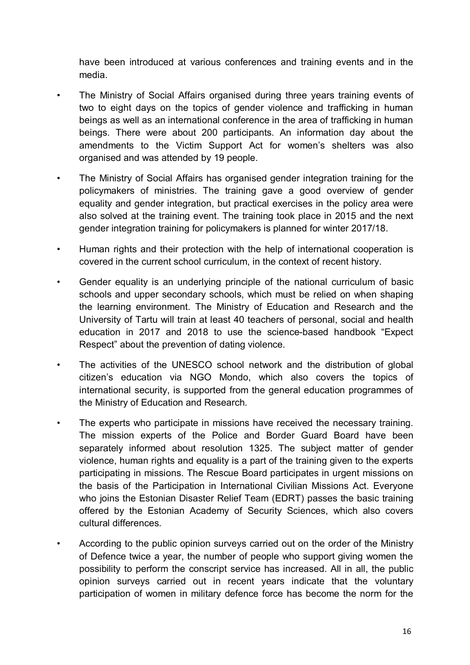have been introduced at various conferences and training events and in the media.

- The Ministry of Social Affairs organised during three years training events of two to eight days on the topics of gender violence and trafficking in human beings as well as an international conference in the area of trafficking in human beings. There were about 200 participants. An information day about the amendments to the Victim Support Act for women's shelters was also organised and was attended by 19 people.
- The Ministry of Social Affairs has organised gender integration training for the policymakers of ministries. The training gave a good overview of gender equality and gender integration, but practical exercises in the policy area were also solved at the training event. The training took place in 2015 and the next gender integration training for policymakers is planned for winter 2017/18.
- Human rights and their protection with the help of international cooperation is covered in the current school curriculum, in the context of recent history.
- Gender equality is an underlying principle of the national curriculum of basic schools and upper secondary schools, which must be relied on when shaping the learning environment. The Ministry of Education and Research and the University of Tartu will train at least 40 teachers of personal, social and health education in 2017 and 2018 to use the science-based handbook "Expect Respect" about the prevention of dating violence.
- The activities of the UNESCO school network and the distribution of global citizen's education via NGO Mondo, which also covers the topics of international security, is supported from the general education programmes of the Ministry of Education and Research.
- The experts who participate in missions have received the necessary training. The mission experts of the Police and Border Guard Board have been separately informed about resolution 1325. The subject matter of gender violence, human rights and equality is a part of the training given to the experts participating in missions. The Rescue Board participates in urgent missions on the basis of the Participation in International Civilian Missions Act. Everyone who joins the Estonian Disaster Relief Team (EDRT) passes the basic training offered by the Estonian Academy of Security Sciences, which also covers cultural differences.
- According to the public opinion surveys carried out on the order of the Ministry of Defence twice a year, the number of people who support giving women the possibility to perform the conscript service has increased. All in all, the public opinion surveys carried out in recent years indicate that the voluntary participation of women in military defence force has become the norm for the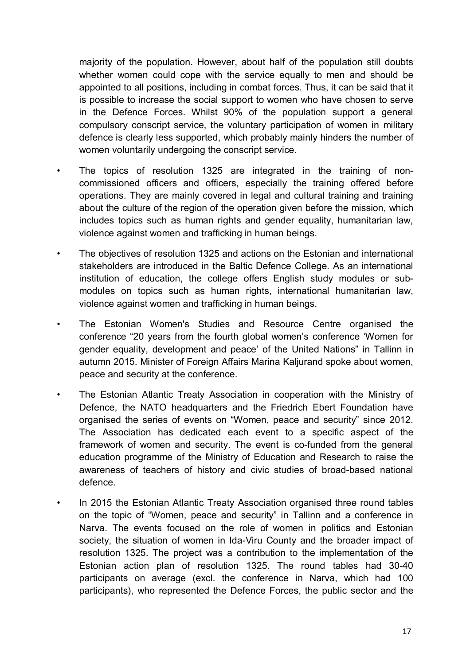majority of the population. However, about half of the population still doubts whether women could cope with the service equally to men and should be appointed to all positions, including in combat forces. Thus, it can be said that it is possible to increase the social support to women who have chosen to serve in the Defence Forces. Whilst 90% of the population support a general compulsory conscript service, the voluntary participation of women in military defence is clearly less supported, which probably mainly hinders the number of women voluntarily undergoing the conscript service.

- The topics of resolution 1325 are integrated in the training of noncommissioned officers and officers, especially the training offered before operations. They are mainly covered in legal and cultural training and training about the culture of the region of the operation given before the mission, which includes topics such as human rights and gender equality, humanitarian law, violence against women and trafficking in human beings.
- The objectives of resolution 1325 and actions on the Estonian and international stakeholders are introduced in the Baltic Defence College. As an international institution of education, the college offers English study modules or submodules on topics such as human rights, international humanitarian law, violence against women and trafficking in human beings.
- The Estonian Women's Studies and Resource Centre organised the conference "20 years from the fourth global women's conference 'Women for gender equality, development and peace' of the United Nations" in Tallinn in autumn 2015. Minister of Foreign Affairs Marina Kaljurand spoke about women, peace and security at the conference.
- The Estonian Atlantic Treaty Association in cooperation with the Ministry of Defence, the NATO headquarters and the Friedrich Ebert Foundation have organised the series of events on "Women, peace and security" since 2012. The Association has dedicated each event to a specific aspect of the framework of women and security. The event is co-funded from the general education programme of the Ministry of Education and Research to raise the awareness of teachers of history and civic studies of broad-based national defence.
- In 2015 the Estonian Atlantic Treaty Association organised three round tables on the topic of "Women, peace and security" in Tallinn and a conference in Narva. The events focused on the role of women in politics and Estonian society, the situation of women in Ida-Viru County and the broader impact of resolution 1325. The project was a contribution to the implementation of the Estonian action plan of resolution 1325. The round tables had 30-40 participants on average (excl. the conference in Narva, which had 100 participants), who represented the Defence Forces, the public sector and the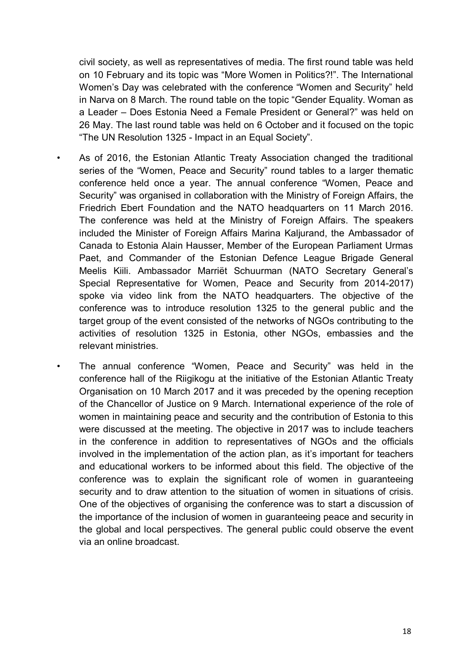civil society, as well as representatives of media. The first round table was held on 10 February and its topic was "More Women in Politics?!". The International Women's Day was celebrated with the conference "Women and Security" held in Narva on 8 March. The round table on the topic "Gender Equality. Woman as a Leader – Does Estonia Need a Female President or General?" was held on 26 May. The last round table was held on 6 October and it focused on the topic "The UN Resolution 1325 - Impact in an Equal Society".

- As of 2016, the Estonian Atlantic Treaty Association changed the traditional series of the "Women, Peace and Security" round tables to a larger thematic conference held once a year. The annual conference "Women, Peace and Security" was organised in collaboration with the Ministry of Foreign Affairs, the Friedrich Ebert Foundation and the NATO headquarters on 11 March 2016. The conference was held at the Ministry of Foreign Affairs. The speakers included the Minister of Foreign Affairs Marina Kaljurand, the Ambassador of Canada to Estonia Alain Hausser, Member of the European Parliament Urmas Paet, and Commander of the Estonian Defence League Brigade General Meelis Kiili. Ambassador Marriët Schuurman (NATO Secretary General's Special Representative for Women, Peace and Security from 2014-2017) spoke via video link from the NATO headquarters. The objective of the conference was to introduce resolution 1325 to the general public and the target group of the event consisted of the networks of NGOs contributing to the activities of resolution 1325 in Estonia, other NGOs, embassies and the relevant ministries.
	- The annual conference "Women, Peace and Security" was held in the conference hall of the Riigikogu at the initiative of the Estonian Atlantic Treaty Organisation on 10 March 2017 and it was preceded by the opening reception of the Chancellor of Justice on 9 March. International experience of the role of women in maintaining peace and security and the contribution of Estonia to this were discussed at the meeting. The objective in 2017 was to include teachers in the conference in addition to representatives of NGOs and the officials involved in the implementation of the action plan, as it's important for teachers and educational workers to be informed about this field. The objective of the conference was to explain the significant role of women in guaranteeing security and to draw attention to the situation of women in situations of crisis. One of the objectives of organising the conference was to start a discussion of the importance of the inclusion of women in guaranteeing peace and security in the global and local perspectives. The general public could observe the event via an online broadcast.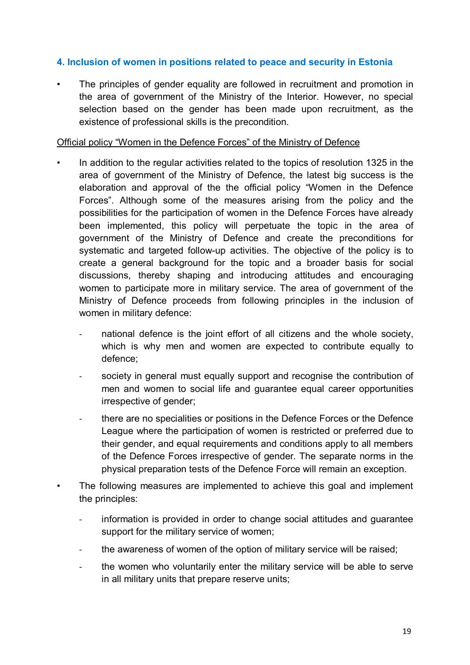### **4. Inclusion of women in positions related to peace and security in Estonia**

The principles of gender equality are followed in recruitment and promotion in the area of government of the Ministry of the Interior. However, no special selection based on the gender has been made upon recruitment, as the existence of professional skills is the precondition.

#### Official policy "Women in the Defence Forces" of the Ministry of Defence

- In addition to the regular activities related to the topics of resolution 1325 in the area of government of the Ministry of Defence, the latest big success is the elaboration and approval of the the official policy "Women in the Defence Forces". Although some of the measures arising from the policy and the possibilities for the participation of women in the Defence Forces have already been implemented, this policy will perpetuate the topic in the area of government of the Ministry of Defence and create the preconditions for systematic and targeted follow-up activities. The objective of the policy is to create a general background for the topic and a broader basis for social discussions, thereby shaping and introducing attitudes and encouraging women to participate more in military service. The area of government of the Ministry of Defence proceeds from following principles in the inclusion of women in military defence:
	- national defence is the joint effort of all citizens and the whole society, which is why men and women are expected to contribute equally to defence;
	- society in general must equally support and recognise the contribution of men and women to social life and guarantee equal career opportunities irrespective of gender;
	- there are no specialities or positions in the Defence Forces or the Defence League where the participation of women is restricted or preferred due to their gender, and equal requirements and conditions apply to all members of the Defence Forces irrespective of gender. The separate norms in the physical preparation tests of the Defence Force will remain an exception.
	- The following measures are implemented to achieve this goal and implement the principles:
		- information is provided in order to change social attitudes and guarantee support for the military service of women;
		- the awareness of women of the option of military service will be raised;
		- the women who voluntarily enter the military service will be able to serve in all military units that prepare reserve units;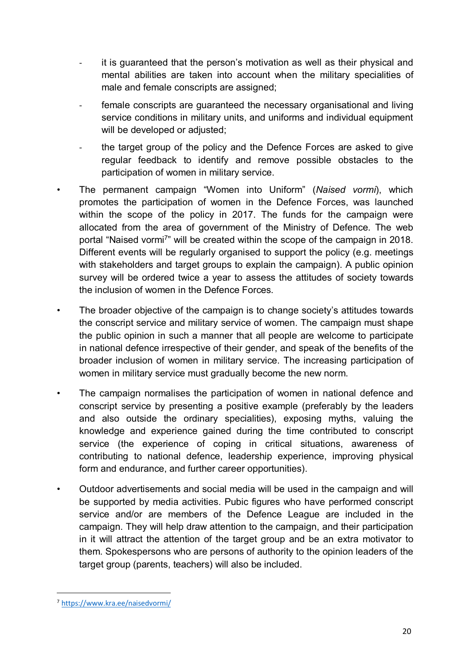- it is guaranteed that the person's motivation as well as their physical and mental abilities are taken into account when the military specialities of male and female conscripts are assigned;
- female conscripts are guaranteed the necessary organisational and living service conditions in military units, and uniforms and individual equipment will be developed or adjusted;
- the target group of the policy and the Defence Forces are asked to give regular feedback to identify and remove possible obstacles to the participation of women in military service.
- The permanent campaign "Women into Uniform" (*Naised vormi*), which promotes the participation of women in the Defence Forces, was launched within the scope of the policy in 2017. The funds for the campaign were allocated from the area of government of the Ministry of Defence. The web portal "Naised vormi<sup>7</sup>" will be created within the scope of the campaign in 2018. Different events will be regularly organised to support the policy (e.g. meetings with stakeholders and target groups to explain the campaign). A public opinion survey will be ordered twice a year to assess the attitudes of society towards the inclusion of women in the Defence Forces.
- The broader objective of the campaign is to change society's attitudes towards the conscript service and military service of women. The campaign must shape the public opinion in such a manner that all people are welcome to participate in national defence irrespective of their gender, and speak of the benefits of the broader inclusion of women in military service. The increasing participation of women in military service must gradually become the new norm.
- The campaign normalises the participation of women in national defence and conscript service by presenting a positive example (preferably by the leaders and also outside the ordinary specialities), exposing myths, valuing the knowledge and experience gained during the time contributed to conscript service (the experience of coping in critical situations, awareness of contributing to national defence, leadership experience, improving physical form and endurance, and further career opportunities).
- Outdoor advertisements and social media will be used in the campaign and will be supported by media activities. Pubic figures who have performed conscript service and/or are members of the Defence League are included in the campaign. They will help draw attention to the campaign, and their participation in it will attract the attention of the target group and be an extra motivator to them. Spokespersons who are persons of authority to the opinion leaders of the target group (parents, teachers) will also be included.

<sup>7</sup> https://www.kra.ee/naisedvormi/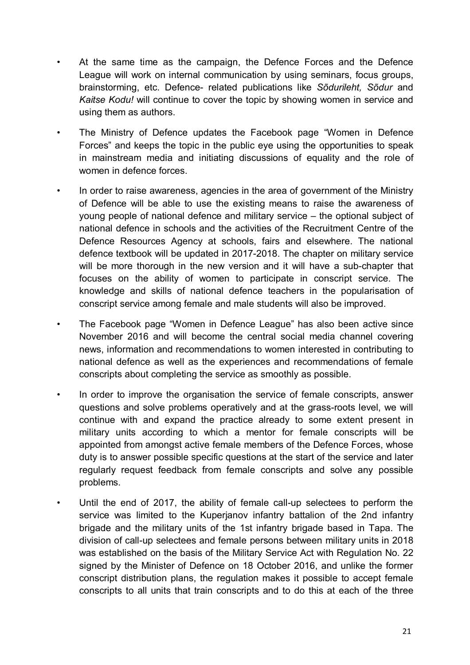- At the same time as the campaign, the Defence Forces and the Defence League will work on internal communication by using seminars, focus groups, brainstorming, etc. Defence- related publications like *Sõdurileht, Sõdur* and *Kaitse Kodu!* will continue to cover the topic by showing women in service and using them as authors.
- The Ministry of Defence updates the Facebook page "Women in Defence Forces" and keeps the topic in the public eye using the opportunities to speak in mainstream media and initiating discussions of equality and the role of women in defence forces.
- In order to raise awareness, agencies in the area of government of the Ministry of Defence will be able to use the existing means to raise the awareness of young people of national defence and military service – the optional subject of national defence in schools and the activities of the Recruitment Centre of the Defence Resources Agency at schools, fairs and elsewhere. The national defence textbook will be updated in 2017-2018. The chapter on military service will be more thorough in the new version and it will have a sub-chapter that focuses on the ability of women to participate in conscript service. The knowledge and skills of national defence teachers in the popularisation of conscript service among female and male students will also be improved.
- The Facebook page "Women in Defence League" has also been active since November 2016 and will become the central social media channel covering news, information and recommendations to women interested in contributing to national defence as well as the experiences and recommendations of female conscripts about completing the service as smoothly as possible.
- In order to improve the organisation the service of female conscripts, answer questions and solve problems operatively and at the grass-roots level, we will continue with and expand the practice already to some extent present in military units according to which a mentor for female conscripts will be appointed from amongst active female members of the Defence Forces, whose duty is to answer possible specific questions at the start of the service and later regularly request feedback from female conscripts and solve any possible problems.
- Until the end of 2017, the ability of female call-up selectees to perform the service was limited to the Kuperjanov infantry battalion of the 2nd infantry brigade and the military units of the 1st infantry brigade based in Tapa. The division of call-up selectees and female persons between military units in 2018 was established on the basis of the Military Service Act with Regulation No. 22 signed by the Minister of Defence on 18 October 2016, and unlike the former conscript distribution plans, the regulation makes it possible to accept female conscripts to all units that train conscripts and to do this at each of the three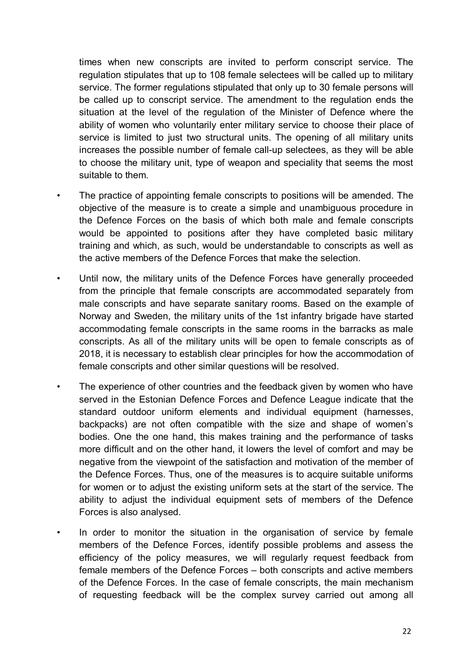times when new conscripts are invited to perform conscript service. The regulation stipulates that up to 108 female selectees will be called up to military service. The former regulations stipulated that only up to 30 female persons will be called up to conscript service. The amendment to the regulation ends the situation at the level of the regulation of the Minister of Defence where the ability of women who voluntarily enter military service to choose their place of service is limited to just two structural units. The opening of all military units increases the possible number of female call-up selectees, as they will be able to choose the military unit, type of weapon and speciality that seems the most suitable to them.

- The practice of appointing female conscripts to positions will be amended. The objective of the measure is to create a simple and unambiguous procedure in the Defence Forces on the basis of which both male and female conscripts would be appointed to positions after they have completed basic military training and which, as such, would be understandable to conscripts as well as the active members of the Defence Forces that make the selection.
- Until now, the military units of the Defence Forces have generally proceeded from the principle that female conscripts are accommodated separately from male conscripts and have separate sanitary rooms. Based on the example of Norway and Sweden, the military units of the 1st infantry brigade have started accommodating female conscripts in the same rooms in the barracks as male conscripts. As all of the military units will be open to female conscripts as of 2018, it is necessary to establish clear principles for how the accommodation of female conscripts and other similar questions will be resolved.
- The experience of other countries and the feedback given by women who have served in the Estonian Defence Forces and Defence League indicate that the standard outdoor uniform elements and individual equipment (harnesses, backpacks) are not often compatible with the size and shape of women's bodies. One the one hand, this makes training and the performance of tasks more difficult and on the other hand, it lowers the level of comfort and may be negative from the viewpoint of the satisfaction and motivation of the member of the Defence Forces. Thus, one of the measures is to acquire suitable uniforms for women or to adjust the existing uniform sets at the start of the service. The ability to adjust the individual equipment sets of members of the Defence Forces is also analysed.
	- In order to monitor the situation in the organisation of service by female members of the Defence Forces, identify possible problems and assess the efficiency of the policy measures, we will regularly request feedback from female members of the Defence Forces – both conscripts and active members of the Defence Forces. In the case of female conscripts, the main mechanism of requesting feedback will be the complex survey carried out among all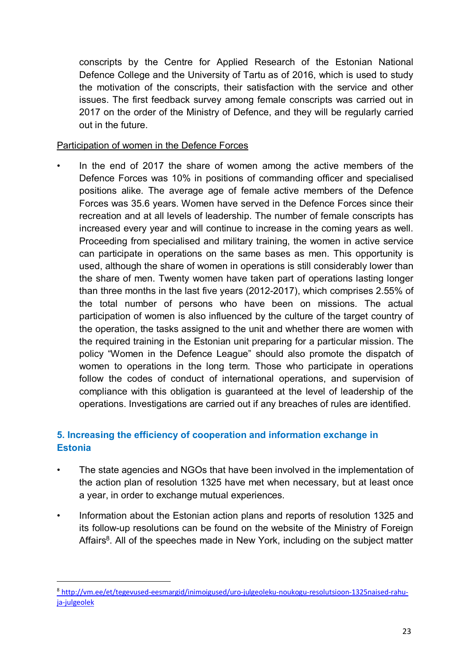conscripts by the Centre for Applied Research of the Estonian National Defence College and the University of Tartu as of 2016, which is used to study the motivation of the conscripts, their satisfaction with the service and other issues. The first feedback survey among female conscripts was carried out in 2017 on the order of the Ministry of Defence, and they will be regularly carried out in the future.

## Participation of women in the Defence Forces

• In the end of 2017 the share of women among the active members of the Defence Forces was 10% in positions of commanding officer and specialised positions alike. The average age of female active members of the Defence Forces was 35.6 years. Women have served in the Defence Forces since their recreation and at all levels of leadership. The number of female conscripts has increased every year and will continue to increase in the coming years as well. Proceeding from specialised and military training, the women in active service can participate in operations on the same bases as men. This opportunity is used, although the share of women in operations is still considerably lower than the share of men. Twenty women have taken part of operations lasting longer than three months in the last five years (2012-2017), which comprises 2.55% of the total number of persons who have been on missions. The actual participation of women is also influenced by the culture of the target country of the operation, the tasks assigned to the unit and whether there are women with the required training in the Estonian unit preparing for a particular mission. The policy "Women in the Defence League" should also promote the dispatch of women to operations in the long term. Those who participate in operations follow the codes of conduct of international operations, and supervision of compliance with this obligation is guaranteed at the level of leadership of the operations. Investigations are carried out if any breaches of rules are identified.

# **5. Increasing the efficiency of cooperation and information exchange in Estonia**

- The state agencies and NGOs that have been involved in the implementation of the action plan of resolution 1325 have met when necessary, but at least once a year, in order to exchange mutual experiences.
- Information about the Estonian action plans and reports of resolution 1325 and its follow-up resolutions can be found on the website of the Ministry of Foreign Affairs<sup>8</sup>. All of the speeches made in New York, including on the subject matter

<sup>8</sup> http://vm.ee/et/tegevused-eesmargid/inimoigused/uro-julgeoleku-noukogu-resolutsioon-1325naised-rahuja-julgeolek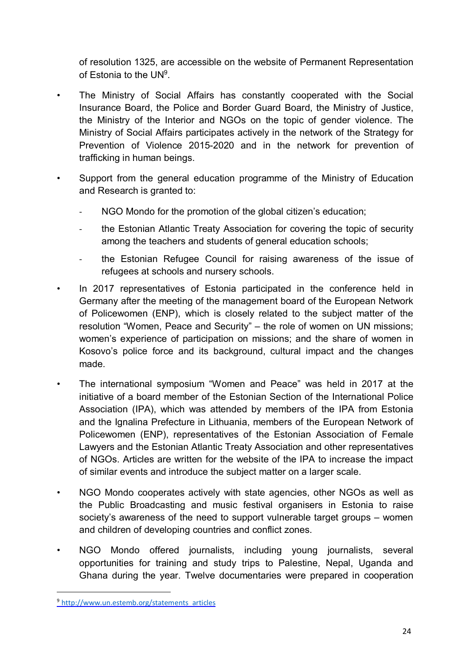of resolution 1325, are accessible on the website of Permanent Representation of Estonia to the UN<sup>9</sup>.

- The Ministry of Social Affairs has constantly cooperated with the Social Insurance Board, the Police and Border Guard Board, the Ministry of Justice, the Ministry of the Interior and NGOs on the topic of gender violence. The Ministry of Social Affairs participates actively in the network of the Strategy for Prevention of Violence 2015-2020 and in the network for prevention of trafficking in human beings.
- Support from the general education programme of the Ministry of Education and Research is granted to:
	- NGO Mondo for the promotion of the global citizen's education;
	- the Estonian Atlantic Treaty Association for covering the topic of security among the teachers and students of general education schools;
	- the Estonian Refugee Council for raising awareness of the issue of refugees at schools and nursery schools.
- In 2017 representatives of Estonia participated in the conference held in Germany after the meeting of the management board of the European Network of Policewomen (ENP), which is closely related to the subject matter of the resolution "Women, Peace and Security" – the role of women on UN missions; women's experience of participation on missions; and the share of women in Kosovo's police force and its background, cultural impact and the changes made.
- The international symposium "Women and Peace" was held in 2017 at the initiative of a board member of the Estonian Section of the International Police Association (IPA), which was attended by members of the IPA from Estonia and the Ignalina Prefecture in Lithuania, members of the European Network of Policewomen (ENP), representatives of the Estonian Association of Female Lawyers and the Estonian Atlantic Treaty Association and other representatives of NGOs. Articles are written for the website of the IPA to increase the impact of similar events and introduce the subject matter on a larger scale.
- NGO Mondo cooperates actively with state agencies, other NGOs as well as the Public Broadcasting and music festival organisers in Estonia to raise society's awareness of the need to support vulnerable target groups – women and children of developing countries and conflict zones.
- NGO Mondo offered journalists, including young journalists, several opportunities for training and study trips to Palestine, Nepal, Uganda and Ghana during the year. Twelve documentaries were prepared in cooperation

<sup>&</sup>lt;sup>9</sup> http://www.un.estemb.org/statements\_articles